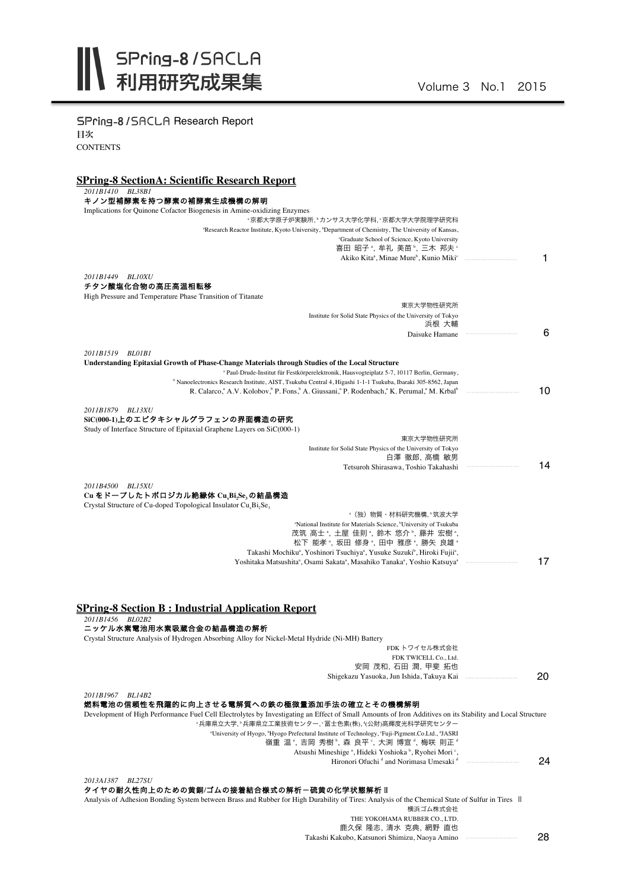| <b>SPring-8/SACLA Research Report</b>                                                                                                                                                                                                                                                                     |    |
|-----------------------------------------------------------------------------------------------------------------------------------------------------------------------------------------------------------------------------------------------------------------------------------------------------------|----|
| 目次                                                                                                                                                                                                                                                                                                        |    |
| CONTENTS                                                                                                                                                                                                                                                                                                  |    |
|                                                                                                                                                                                                                                                                                                           |    |
| <b>SPring-8 SectionA: Scientific Research Report</b>                                                                                                                                                                                                                                                      |    |
| 2011B1410 BL38B1<br>キノン型補酵素を持つ酵素の補酵素生成機構の解明                                                                                                                                                                                                                                                               |    |
| Implications for Quinone Cofactor Biogenesis in Amine-oxidizing Enzymes<br>"京都大学原子炉実験所, "カンサス大学化学科, "京都大学大学院理学研究科                                                                                                                                                                                         |    |
| <sup>a</sup> Research Reactor Institute, Kyoto University, <sup>b</sup> Department of Chemistry, The University of Kansas,                                                                                                                                                                                |    |
| 'Graduate School of Science, Kyoto University<br>喜田 昭子 *, 牟礼 美苗 *, 三木 邦夫 *                                                                                                                                                                                                                                |    |
| Akiko Kita <sup>a</sup> , Minae Mure <sup>b</sup> , Kunio Miki <sup>c</sup>                                                                                                                                                                                                                               | 1  |
| 2011B1449 BL10XU                                                                                                                                                                                                                                                                                          |    |
| チタン酸塩化合物の高圧高温相転移                                                                                                                                                                                                                                                                                          |    |
| High Pressure and Temperature Phase Transition of Titanate<br>東京大学物性研究所                                                                                                                                                                                                                                   |    |
| Institute for Solid State Physics of the University of Tokyo                                                                                                                                                                                                                                              |    |
| 浜根 大輔<br>Daisuke Hamane                                                                                                                                                                                                                                                                                   | 6  |
|                                                                                                                                                                                                                                                                                                           |    |
| 2011B1519 BL01B1<br>Understanding Epitaxial Growth of Phase-Change Materials through Studies of the Local Structure                                                                                                                                                                                       |    |
| <sup>a</sup> Paul-Drude-Institut für Festkörperelektronik, Hausvogteiplatz 5-7, 10117 Berlin, Germany,                                                                                                                                                                                                    |    |
| <sup>b</sup> Nanoelectronics Research Institute, AIST, Tsukuba Central 4, Higashi 1-1-1 Tsukuba, Ibaraki 305-8562, Japan<br>R. Calarco, <sup>a</sup> A.V. Kolobov, <sup>b</sup> P. Fons, <sup>b</sup> A. Giussani, <sup>a</sup> P. Rodenbach, <sup>a</sup> K. Perumal, <sup>a</sup> M. Krbal <sup>b</sup> | 10 |
|                                                                                                                                                                                                                                                                                                           |    |
| 2011B1879 BL13XU                                                                                                                                                                                                                                                                                          |    |
| SiC(000-1)上のエピタキシャルグラフェンの界面構造の研究<br>Study of Interface Structure of Epitaxial Graphene Layers on SiC(000-1)                                                                                                                                                                                               |    |
| 東京大学物性研究所                                                                                                                                                                                                                                                                                                 |    |
| Institute for Solid State Physics of the University of Tokyo                                                                                                                                                                                                                                              |    |
| 白澤 徹郎, 高橋 敏男<br>Tetsuroh Shirasawa, Toshio Takahashi                                                                                                                                                                                                                                                      | 14 |
|                                                                                                                                                                                                                                                                                                           |    |
| 2011B4500 BL15XU<br>Cu をドープしたトポロジカル絶縁体 CuxBi2Se3の結晶構造                                                                                                                                                                                                                                                     |    |
| Crystal Structure of Cu-doped Topological Insulator Cu <sub>r</sub> Bi <sub>2</sub> Se <sub>3</sub>                                                                                                                                                                                                       |    |
| <sup>。</sup> (独)物質・材料研究機構 . ° 筑波大学<br>"National Institute for Materials Science, "University of Tsukuba                                                                                                                                                                                                   |    |
| 茂筑 高士 ",土屋 佳則 ",鈴木 悠介 ",藤井 宏樹 ",                                                                                                                                                                                                                                                                          |    |
| 松下 能孝 ,坂田 修身 ,田中 雅彦 ,勝矢 良雄 。                                                                                                                                                                                                                                                                              |    |
| Takashi Mochiku <sup>a</sup> , Yoshinori Tsuchiya <sup>a</sup> , Yusuke Suzuki <sup>b</sup> , Hiroki Fujii <sup>a</sup> ,<br>Yoshitaka Matsushita <sup>a</sup> , Osami Sakata <sup>a</sup> , Masahiko Tanaka <sup>a</sup> , Yoshio Katsuya <sup>a</sup>                                                   | 17 |
|                                                                                                                                                                                                                                                                                                           |    |
|                                                                                                                                                                                                                                                                                                           |    |
|                                                                                                                                                                                                                                                                                                           |    |
| <b>SPring-8 Section B: Industrial Application Report</b><br>2011B1456 BL02B2                                                                                                                                                                                                                              |    |
| 二ッケル水素電池用水素吸蔵合金の結晶構造の解析                                                                                                                                                                                                                                                                                   |    |
| Crystal Structure Analysis of Hydrogen Absorbing Alloy for Nickel-Metal Hydride (Ni-MH) Battery                                                                                                                                                                                                           |    |
| FDKトワイセル株式会社<br>FDK TWICELL Co., Ltd.                                                                                                                                                                                                                                                                     |    |
| 安岡 茂和, 石田 潤, 甲斐 拓也                                                                                                                                                                                                                                                                                        |    |
|                                                                                                                                                                                                                                                                                                           | 20 |
| 2011B1967 BL14B2                                                                                                                                                                                                                                                                                          |    |
| 燃料電池の信頼性を飛躍的に向上させる電解質への鉄の極微量添加手法の確立とその機構解明                                                                                                                                                                                                                                                                |    |
| Development of High Performance Fuel Cell Electrolytes by Investigating an Effect of Small Amounts of Iron Additives on its Stability and Local Structure<br>"兵庫県立大学, "兵庫県立工業技術センター, '冨士色素(株), "(公財)高輝度光科学研究センター                                                                                          |    |
| <sup>a</sup> University of Hyogo, <sup>b</sup> Hyogo Prefectural Institute of Technology, 'Fuji-Pigment.Co.Ltd., <sup>d</sup> JASRI                                                                                                                                                                       |    |
| 嶺重 温*, 吉岡 秀樹 <sup></sup> , 森 良平*, 大渕 博宣*, 梅咲 則正*                                                                                                                                                                                                                                                          |    |
| Atsushi Mineshige <sup>a</sup> , Hideki Yoshioka <sup>b</sup> , Ryohei Mori <sup>c</sup> ,<br>Hironori Ofuchi <sup>d</sup> and Norimasa Umesaki <sup>d</sup>                                                                                                                                              | 24 |
|                                                                                                                                                                                                                                                                                                           |    |
| 2013A1387 BL27SU<br>タイヤの耐久性向上のための黄銅/ゴムの接着結合様式の解析一硫黄の化学状態解析 Ⅱ                                                                                                                                                                                                                                              |    |
| Analysis of Adhesion Bonding System between Brass and Rubber for High Durability of Tires: Analysis of the Chemical State of Sulfur in Tires II                                                                                                                                                           |    |
| 横浜ゴム株式会社                                                                                                                                                                                                                                                                                                  |    |
| THE YOKOHAMA RUBBER CO., LTD.<br>鹿久保 隆志, 清水 克典, 網野 直也                                                                                                                                                                                                                                                     |    |

Takashi Kakubo, Katsunori Shimizu, Naoya Amino ・・・・・・・・・・・・・・・・・・・・・・・・・・・・・・・・・ 028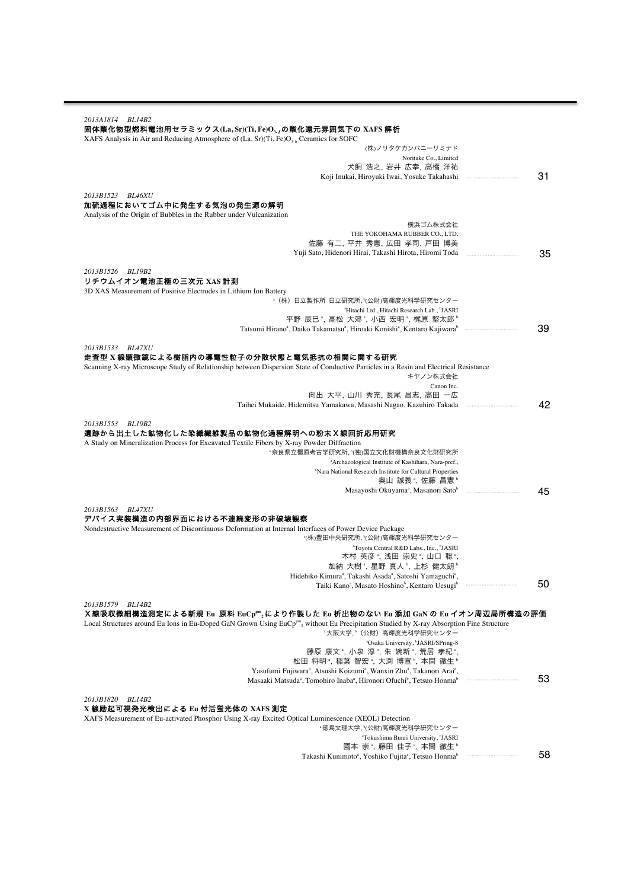| 2013A1814 BL14B2                                                                                                                                                                                                                                                                                                                                                                                           |    |
|------------------------------------------------------------------------------------------------------------------------------------------------------------------------------------------------------------------------------------------------------------------------------------------------------------------------------------------------------------------------------------------------------------|----|
|                                                                                                                                                                                                                                                                                                                                                                                                            |    |
| 固体酸化物型燃料電池用セラミックス(La, Sr)(Ti, Fe)O, ¿の酸化還元雰囲気下の XAFS 解析                                                                                                                                                                                                                                                                                                                                                    |    |
| XAFS Analysis in Air and Reducing Atmosphere of $(La, Sr)(Ti, Fe)Oa$ , Ceramics for SOFC                                                                                                                                                                                                                                                                                                                   |    |
| (株)ノリタケカンパニーリミテド                                                                                                                                                                                                                                                                                                                                                                                           |    |
| Noritake Co., Limited                                                                                                                                                                                                                                                                                                                                                                                      |    |
| 犬飼 浩之,岩井 広幸,高橋 洋祐                                                                                                                                                                                                                                                                                                                                                                                          |    |
| Koji Inukai, Hiroyuki Iwai, Yosuke Takahashi                                                                                                                                                                                                                                                                                                                                                               | 31 |
|                                                                                                                                                                                                                                                                                                                                                                                                            |    |
| 2013B1523 BL46XU                                                                                                                                                                                                                                                                                                                                                                                           |    |
| 加硫過程においてゴム中に発生する気泡の発生源の解明                                                                                                                                                                                                                                                                                                                                                                                  |    |
| Analysis of the Origin of Bubbles in the Rubber under Vulcanization                                                                                                                                                                                                                                                                                                                                        |    |
| 横浜ゴム株式会社                                                                                                                                                                                                                                                                                                                                                                                                   |    |
| THE YOKOHAMA RUBBER CO., LTD.                                                                                                                                                                                                                                                                                                                                                                              |    |
| 佐藤 有二, 平井 秀憲, 広田 孝司, 戸田 博美                                                                                                                                                                                                                                                                                                                                                                                 |    |
| Yuji Sato, Hidenori Hirai, Takashi Hirota, Hiromi Toda                                                                                                                                                                                                                                                                                                                                                     | 35 |
|                                                                                                                                                                                                                                                                                                                                                                                                            |    |
| 2013B1526 BL19B2                                                                                                                                                                                                                                                                                                                                                                                           |    |
| リチウムイオン電池正極の三次元 XAS 計測                                                                                                                                                                                                                                                                                                                                                                                     |    |
| 3D XAS Measurement of Positive Electrodes in Lithium Ion Battery                                                                                                                                                                                                                                                                                                                                           |    |
| *(株)日立製作所 日立研究所,"(公財)高輝度光科学研究センター                                                                                                                                                                                                                                                                                                                                                                          |    |
| <sup>a</sup> Hitachi Ltd., Hitachi Research Lab., <sup>b</sup> JASRI                                                                                                                                                                                                                                                                                                                                       |    |
| 平野 辰巳 ి, 高松 大郊 ª, 小西 宏明 ª, 梶原 堅太郎 ʰ                                                                                                                                                                                                                                                                                                                                                                        |    |
| Tatsumi Hirano <sup>a</sup> , Daiko Takamatsu <sup>a</sup> , Hiroaki Konishi <sup>a</sup> , Kentaro Kajiwara <sup>b</sup>                                                                                                                                                                                                                                                                                  | 39 |
|                                                                                                                                                                                                                                                                                                                                                                                                            |    |
| 2013B1533 BL47XU<br>走査型 x 線顕微鏡による樹脂内の導電性粒子の分散状態と電気抵抗の相関に関する研究                                                                                                                                                                                                                                                                                                                                              |    |
|                                                                                                                                                                                                                                                                                                                                                                                                            |    |
| Scanning X-ray Microscope Study of Relationship between Dispersion State of Conductive Particles in a Resin and Electrical Resistance                                                                                                                                                                                                                                                                      |    |
| キヤノン株式会社<br>Canon Inc.                                                                                                                                                                                                                                                                                                                                                                                     |    |
| 向出 大平,山川 秀充,長尾 昌志,高田 一広                                                                                                                                                                                                                                                                                                                                                                                    |    |
| Taihei Mukaide, Hidemitsu Yamakawa, Masashi Nagao, Kazuhiro Takada                                                                                                                                                                                                                                                                                                                                         | 42 |
|                                                                                                                                                                                                                                                                                                                                                                                                            |    |
| 遺跡から出土した鉱物化した染織織維製品の鉱物化過程解明への粉末X線回折応用研究<br>A Study on Mineralization Process for Excavated Textile Fibers by X-ray Powder Diffraction<br>"奈良県立橿原考古学研究所, "(独)国立文化財機構奈良文化財研究所<br><sup>a</sup> Archaeological Institute of Kashihara, Nara-pref.,<br><sup>b</sup> Nara National Research Institute for Cultural Properties<br>奥山 誠義 ", 佐藤 昌憲 "<br>Masayoshi Okuyama <sup>a</sup> , Masanori Sato <sup>o</sup> | 45 |
|                                                                                                                                                                                                                                                                                                                                                                                                            |    |
| 2013B1563 BL47XU                                                                                                                                                                                                                                                                                                                                                                                           |    |
| デバイス実装構造の内部界面における不連続変形の非破壊観察                                                                                                                                                                                                                                                                                                                                                                               |    |
| Nondestructive Measurement of Discontinuous Deformation at Internal Interfaces of Power Device Package                                                                                                                                                                                                                                                                                                     |    |
| *(株)豊田中央研究所, *(公財)高輝度光科学研究センター                                                                                                                                                                                                                                                                                                                                                                             |    |
| "Toyota Central R&D Labs., Inc., <sup>b</sup> JASRI                                                                                                                                                                                                                                                                                                                                                        |    |
| 木村 英彦 ゚, 浅田 崇史 ゚, 山口 聡 ゚,                                                                                                                                                                                                                                                                                                                                                                                  |    |
| 加納 大樹 "、星野 真人 "、上杉 健太朗 "                                                                                                                                                                                                                                                                                                                                                                                   |    |
| Hidehiko Kimura <sup>a</sup> , Takashi Asada <sup>a</sup> , Satoshi Yamaguchi <sup>a</sup> ,                                                                                                                                                                                                                                                                                                               |    |
| Taiki Kano <sup>a</sup> , Masato Hoshino <sup>b</sup> , Kentaro Uesugi <sup>b</sup>                                                                                                                                                                                                                                                                                                                        | 50 |
| 2013B1579 BL14B2<br>X線吸収微細構造測定による新規 Eu 原料 EuCp""չにより作製した Eu 析出物のない Eu 添加 GaN の Eu イオン周辺局所構造の評価<br>Local Structures around Eu Ions in Eu-Doped GaN Grown Using EuCp <sup>pm</sup> , without Eu Precipitation Studied by X-ray Absorption Fine Structure<br>"大阪大学,"(公財)高輝度光科学研究センター                                                                                                                          |    |
| <sup>a</sup> Osaka University, <sup>b</sup> JASRI/SPring-8                                                                                                                                                                                                                                                                                                                                                 |    |
| 藤原 康文*, 小泉 淳*, 朱 婉新*, 荒居 孝紀*,                                                                                                                                                                                                                                                                                                                                                                              |    |
| 松田 将明 *, 稲葉 智宏 *, 大渕 博宣 *, 本間 徹生 *                                                                                                                                                                                                                                                                                                                                                                         |    |
| Yasufumi Fujiwara <sup>a</sup> , Atsushi Koizumi <sup>a</sup> , Wanxin Zhu <sup>a</sup> , Takanori Arai <sup>a</sup> ,                                                                                                                                                                                                                                                                                     |    |
| Masaaki Matsuda <sup>a</sup> , Tomohiro Inaba <sup>a</sup> , Hironori Ofuchi <sup>b</sup> , Tetsuo Honma <sup>b</sup>                                                                                                                                                                                                                                                                                      | 53 |
|                                                                                                                                                                                                                                                                                                                                                                                                            |    |
| 2013B1820<br><i>BL14B2</i>                                                                                                                                                                                                                                                                                                                                                                                 |    |
| X 線励起可視発光検出による Eu 付活蛍光体の XAFS 測定                                                                                                                                                                                                                                                                                                                                                                           |    |
| XAFS Measurement of Eu-activated Phosphor Using X-ray Excited Optical Luminescence (XEOL) Detection                                                                                                                                                                                                                                                                                                        |    |
| "徳島文理大学,"(公財)高輝度光科学研究センター                                                                                                                                                                                                                                                                                                                                                                                  |    |
| "Tokushima Bunri University, <sup>b</sup> JASRI                                                                                                                                                                                                                                                                                                                                                            |    |
| 國本 崇*, 藤田 佳子*, 本間 徹生*                                                                                                                                                                                                                                                                                                                                                                                      |    |
| Takashi Kunimoto <sup>a</sup> , Yoshiko Fujita <sup>a</sup> , Tetsuo Honma <sup>b</sup>                                                                                                                                                                                                                                                                                                                    | 58 |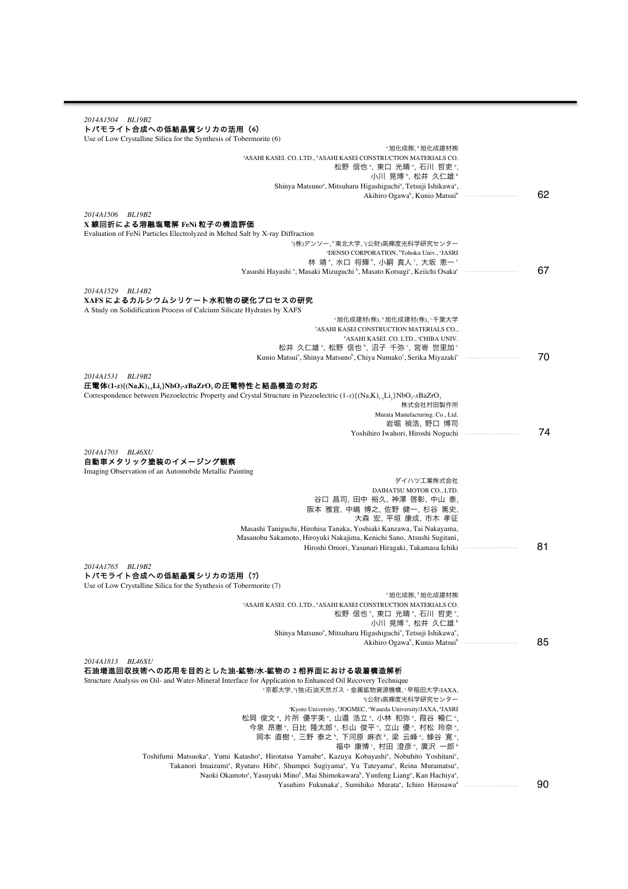| 2014A1504 BL19B2                                                                                                                                                                                                                                                                                                          |        |
|---------------------------------------------------------------------------------------------------------------------------------------------------------------------------------------------------------------------------------------------------------------------------------------------------------------------------|--------|
| トパモライト合成への低結晶質シリカの活用 (6)<br>Use of Low Crystalline Silica for the Synthesis of Tobermorite (6)                                                                                                                                                                                                                            |        |
| ◦旭化成㈱,▷旭化成建材㈱<br><sup>a</sup> ASAHI KASEI. CO. LTD., <sup>b</sup> ASAHI KASEI CONSTRUCTION MATERIALS CO.                                                                                                                                                                                                                  |        |
| 松野 信也 *, 東口 光晴 *, 石川 哲吏 *.<br>小川 晃博 , 松井 久仁雄 。                                                                                                                                                                                                                                                                            |        |
| Shinya Matsuno <sup>a</sup> , Mitsuharu Higashiguchi <sup>a</sup> , Tetsuji Ishikawa <sup>a</sup> ,<br>Akihiro Ogawa <sup>b</sup> , Kunio Matsui <sup>b</sup>                                                                                                                                                             | 62     |
| 2014A1506 BL19B2                                                                                                                                                                                                                                                                                                          |        |
| X線回折による溶融塩電解 FeNi 粒子の構造評価<br>Evaluation of FeNi Particles Electrolyzed in Melted Salt by X-ray Diffraction                                                                                                                                                                                                                |        |
| *(株)デンソー、"東北大学、"(公財)高輝度光科学研究センター                                                                                                                                                                                                                                                                                          |        |
| <sup>a</sup> DENSO CORPORATION, <sup>b</sup> Tohoku Univ., <sup>c</sup> JASRI<br>林 靖 ", 水口 将輝 ", 小嗣 真人 ", 大坂 恵一 "                                                                                                                                                                                                         |        |
| Yasushi Hayashi <sup>a</sup> , Masaki Mizuguchi <sup>b</sup> , Masato Kotsugi <sup>c</sup> , Keiichi Osaka <sup>c</sup>                                                                                                                                                                                                   | 67     |
| 2014A1529 BL14B2                                                                                                                                                                                                                                                                                                          |        |
| XAFS によるカルシウムシリケート水和物の硬化プロセスの研究<br>A Study on Solidification Process of Calcium Silicate Hydrates by XAFS                                                                                                                                                                                                                 |        |
| "旭化成建材(株),"旭化成建材(株),"千葉大学                                                                                                                                                                                                                                                                                                 |        |
| <sup>a</sup> ASAHI KASEI CONSTRUCTION MATERIALS CO.,<br>"ASAHI KASEI. CO. LTD., "CHIBA UNIV.                                                                                                                                                                                                                              |        |
| 松井 久仁雄 *, 松野 信也 *, 沼子 千弥 °, 宮嵜 世里加 °                                                                                                                                                                                                                                                                                      |        |
| Kunio Matsui <sup>a</sup> , Shinya Matsuno <sup>b</sup> , Chiya Numako <sup>c</sup> , Serika Miyazaki <sup>c</sup>                                                                                                                                                                                                        | 70     |
| 2014A1531 BL19B2                                                                                                                                                                                                                                                                                                          |        |
| 圧電体(1-x){(Na,K),,,Li,}NbO,-xBaZrO,の圧電特性と結晶構造の対応                                                                                                                                                                                                                                                                           |        |
| Correspondence between Piezoelectric Property and Crystal Structure in Piezoelectric (1-x){(Na,K) <sub>1-y</sub> Li <sub>y</sub> }NbO <sub>3</sub> -xBaZrO <sub>3</sub><br>株式会社村田製作所                                                                                                                                      |        |
| Murata Manufacturing. Co., Ltd.                                                                                                                                                                                                                                                                                           |        |
| 岩堀 禎浩, 野口 博司<br>Yoshihiro Iwahori, Hiroshi Noguchi                                                                                                                                                                                                                                                                        | 74     |
| 2014A1703 BL46XU<br>自動車メタリック塗装のイメージング観察<br>Imaging Observation of an Automobile Metallic Painting                                                                                                                                                                                                                         |        |
| ダイハツ工業株式会社<br>DAIHATSU MOTOR CO., LTD.                                                                                                                                                                                                                                                                                    |        |
| 谷口 昌司,田中 裕久,神澤 啓彰,中山 泰,                                                                                                                                                                                                                                                                                                   |        |
| 阪本 雅宜,中嶋 博之,佐野 健一,杉谷 篤史,<br>大森 宏, 平垣 康成, 市木 孝征                                                                                                                                                                                                                                                                            |        |
| Masashi Taniguchi, Hirohisa Tanaka, Yoshiaki Kanzawa, Tai Nakayama,                                                                                                                                                                                                                                                       |        |
| Masanobu Sakamoto, Hiroyuki Nakajima, Kenichi Sano, Atsushi Sugitani,<br>Hiroshi Omori, Yasunari Hiragaki, Takamasa Ichiki                                                                                                                                                                                                | 81     |
| 2014A1765<br>BL19B2<br>トパモライト合成への低結晶質シリカの活用 (7)                                                                                                                                                                                                                                                                           |        |
| Use of Low Crystalline Silica for the Synthesis of Tobermorite (7)<br>*旭化成㈱,*旭化成建材㈱                                                                                                                                                                                                                                       |        |
| "ASAHI KASEI. CO. LTD., "ASAHI KASEI CONSTRUCTION MATERIALS CO.                                                                                                                                                                                                                                                           |        |
| 松野 信也",東口 光晴",石川 哲吏",<br>小川 晃博 、 松井 久仁雄 〝                                                                                                                                                                                                                                                                                 |        |
| Shinya Matsuno <sup>a</sup> , Mitsuharu Higashiguchi <sup>a</sup> , Tetsuji Ishikawa <sup>a</sup> ,                                                                                                                                                                                                                       |        |
| Akihiro Ogawa <sup>b</sup> , Kunio Matsui <sup>b</sup>                                                                                                                                                                                                                                                                    | <br>85 |
| 2014A1813<br><b>BL46XU</b>                                                                                                                                                                                                                                                                                                |        |
| 石油増進回収技術への応用を目的とした油-鉱物/水-鉱物の2相界面における吸着構造解析<br>Structure Analysis on Oil- and Water-Mineral Interface for Application to Enhanced Oil Recovery Technique                                                                                                                                                                   |        |
| "京都大学、"(独)石油天然ガス・金属鉱物資源機構、"早稲田大学/JAXA、<br>"(公財)高輝度光科学研究センター                                                                                                                                                                                                                                                               |        |
| "Kyoto University, <sup>b</sup> JOGMEC, 'Waseda University/JAXA, <sup>d</sup> JASRI                                                                                                                                                                                                                                       |        |
| 松岡 俊文 ゚,片所 優宇美 ゚,山邉 浩立 ゚, 小林 和弥 ゚, 葭谷 暢仁 ゚<br>今泉 昂憲 ",日比 隆太郎 ",杉山 俊平 ",立山 優 ",村松 玲奈 ",                                                                                                                                                                                                                                    |        |
| 岡本 直樹 ", 三野 泰之 ", 下河原 麻衣 ", 梁 云峰 ", 蜂谷 寛 ",                                                                                                                                                                                                                                                                               |        |
| 福中 康博°,村田 澄彦ª,廣沢 一郎ª                                                                                                                                                                                                                                                                                                      |        |
| Toshifumi Matsuoka <sup>a</sup> , Yumi Katasho <sup>a</sup> , Hirotatsu Yamabe <sup>a</sup> , Kazuya Kobayashi <sup>a</sup> , Nobuhito Yoshitani <sup>a</sup> ,<br>Takanori Imaizumi <sup>a</sup> , Ryutaro Hibi <sup>a</sup> , Shumpei Sugiyama <sup>a</sup> , Yu Tateyama <sup>a</sup> , Reina Muramatsu <sup>a</sup> , |        |
| Naoki Okamoto <sup>a</sup> , Yasuyuki Mino <sup>b</sup> , Mai Shimokawara <sup>b</sup> , Yunfeng Liang <sup>a</sup> , Kan Hachiya <sup>a</sup> ,                                                                                                                                                                          |        |
| Yasuhiro Fukunaka <sup>c</sup> , Sumihiko Murata <sup>a</sup> , Ichiro Hirosawa <sup>a</sup>                                                                                                                                                                                                                              | 90     |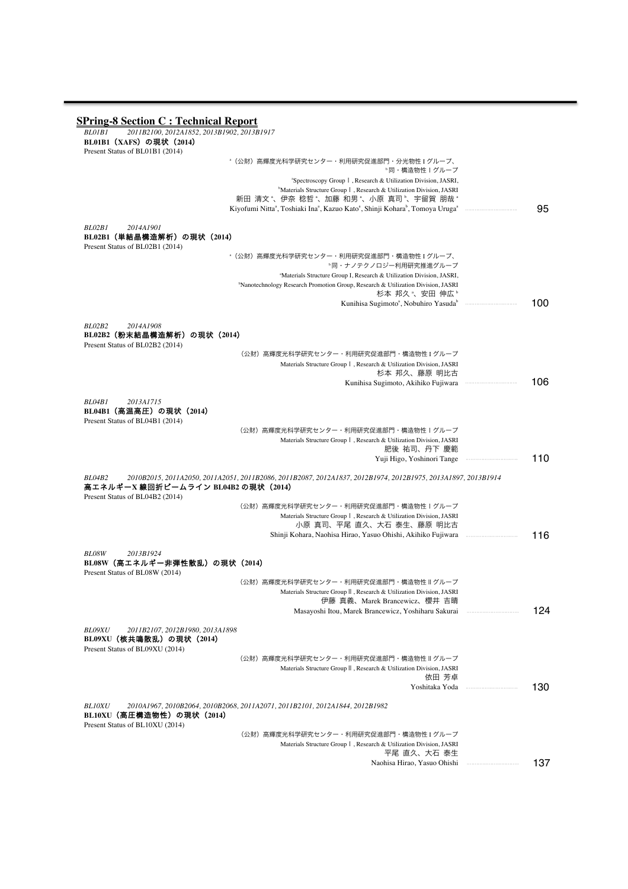**SPring-8 Section C : Technical Report** *BL01B1 2011B2100, 2012A1852, 2013B1902, 2013B1917* **BL01B1 (XAFS) の現状 (2014)** Present Status of BL01B1 (2014) a (公財)高輝度光科学研究センター・利用研究促進部門・分光物性 I グループ、 <sup>b</sup>同・構造物性Ⅰグループ a Spectroscopy GroupⅠ, Research & Utilization Division, JASRI, b Materials Structure GroupⅠ, Research & Utilization Division, JASRI 新田 清文 ゚、伊奈 稔哲 ゚、加藤 和男 ゚、小原 真司 ゚、宇留賀 朋哉 ゚ Kiyofumi Nittaª, Toshiaki Inaª, Kazuo Katoª, Shinji Koharaʰ, Tomoya Urugaª *BL02B1 2014A1901* **BL02B1**(単結晶構造解析)の現状(**2014**) Present Status of BL02B1 (2014) a (公財)高輝度光科学研究センター・利用研究促進部門・構造物性 I グループ、 <sup>b</sup>同・ナノテクノロジー利用研究推進グループ a Materials Structure Group I, Research & Utilization Division, JASRI, b Nanotechnology Research Promotion Group, Research & Utilization Division, JASRI 杉本 邦久 、安田 伸広 ゚ Kunihisa Sugimoto<sup>a</sup>, Nobuhiro Yasuda<sup>b</sup> *BL02B2 2014A1908* **BL02B2**(粉末結晶構造解析)の現状(**2014**) Present Status of BL02B2 (2014) (公財)高輝度光科学研究センター・利用研究促進部門・構造物性 I グループ Materials Structure GroupⅠ, Research & Utilization Division, JASRI 杉本 邦久、藤原 明比古 Kunihisa Sugimoto, Akihiko Fujiwara *BL04B1 2013A1715* **BL04B1**(高温高圧)の現状(**2014**) Present Status of BL04B1 (2014) (公財)高輝度光科学研究センター・利用研究促進部門・構造物性Ⅰグループ Materials Structure GroupⅠ, Research & Utilization Division, JASRI 肥後 祐司、丹下 慶範 Yuji Higo, Yoshinori Tange *BL04B2 2010B2015, 2011A2050, 2011A2051, 2011B2086, 2011B2087, 2012A1837, 2012B1974, 2012B1975, 2013A1897, 2013B1914* 高エネルギー**X** 線回折ビームライン **BL04B2** の現状(**2014**) Present Status of BL04B2 (2014) (公財)高輝度光科学研究センター・利用研究促進部門・構造物性Ⅰグループ Materials Structure GroupⅠ, Research & Utilization Division, JASRI 小原 真司、平尾 直久、大石 泰生、藤原 明比古 Shinji Kohara, Naohisa Hirao, Yasuo Ohishi, Akihiko Fujiwara *BL08W 2013B1924* **BL08W**(高エネルギー非弾性散乱)の現状(**2014**) Present Status of BL08W (2014) (公財)高輝度光科学研究センター・利用研究促進部門・構造物性Ⅱグループ Materials Structure GroupⅡ, Research & Utilization Division, JASRI 伊藤 真義、Marek Brancewicz、櫻井 吉晴 Masayoshi Itou, Marek Brancewicz, Yoshiharu Sakurai *BL09XU 2011B2107, 2012B1980, 2013A1898* **BL09XU**(核共鳴散乱)の現状(**2014**) Present Status of BL09XU (2014) (公財)高輝度光科学研究センター・利用研究促進部門・構造物性Ⅱグループ Materials Structure GroupⅡ, Research & Utilization Division, JASRI 依田 芳卓 Yoshitaka Yoda *BL10XU 2010A1967, 2010B2064, 2010B2068, 2011A2071, 2011B2101, 2012A1844, 2012B1982* **BL10XU**(高圧構造物性)の現状(**2014**) Present Status of BL10XU (2014) (公財)高輝度光科学研究センター・利用研究促進部門・構造物性 I グループ Materials Structure GroupⅠ, Research & Utilization Division, JASRI 平尾 直久、大石 泰生 Naohisa Hirao, Yasuo Ohishi ・・・・・・・・・・・・・・・・・・・・・・・・・・・・・・・・・ 095 ・・・・・・・・・・・・・・・・・・・・・・・・・・・・・・・・・ 100 ・・・・・・・・・・・・・・・・・・・・・・・・・・・・・・・・・ 106 110 ・・・・・・・・・・・・・・・・・・・・・・・・・・・・・・・・・ 116 124 ・・・・・・・・・・・・・・・・・・・・・・・・・・・・・・・・・ 130 137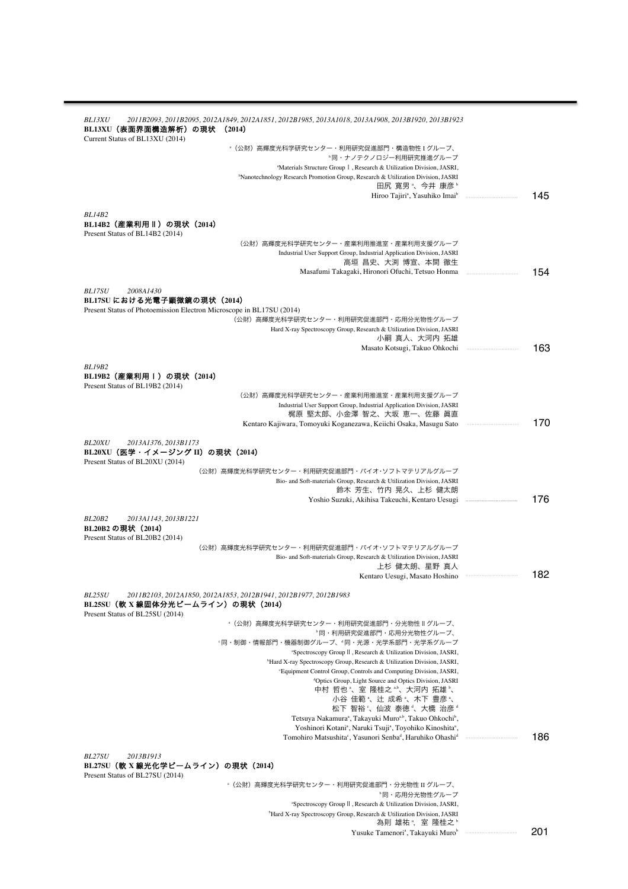| <i>BL13XU</i><br>2011B2093, 2011B2095, 2012A1849, 2012A1851, 2012B1985, 2013A1018, 2013A1908, 2013B1920, 2013B1923<br>BL13XU(表面界面構造解析)の現状 (2014)<br>Current Status of BL13XU (2014)          |         |
|----------------------------------------------------------------------------------------------------------------------------------------------------------------------------------------------|---------|
| <sup>。</sup> (公財)高輝度光科学研究センター・利用研究促進部門・構造物性 I グループ、<br>〝同・ナノテクノロジー利用研究推進グループ                                                                                                                 |         |
| <sup>a</sup> Materials Structure Group   , Research & Utilization Division, JASRI,<br><sup>b</sup> Nanotechnology Research Promotion Group, Research & Utilization Division, JASRI           |         |
| 田尻 寛男 "、今井 康彦 "<br>Hiroo Tajiri <sup>a</sup> , Yasuhiko Imai <sup>b</sup>                                                                                                                    | 145     |
| BL14B2<br> BL14B2(産業利用Ⅱ)の現状(2014)<br>Present Status of BL14B2 (2014)                                                                                                                         |         |
| (公財)高輝度光科学研究センター・産業利用推進室・産業利用支援グループ<br>Industrial User Support Group, Industrial Application Division, JASRI                                                                                 |         |
| 高垣 昌史、大渕 博宣、本間 徹生                                                                                                                                                                            |         |
| Masafumi Takagaki, Hironori Ofuchi, Tetsuo Honma                                                                                                                                             | 154     |
| <b>BL17SU</b><br>2008A1430<br>BL17SU における光電子顕微鏡の現状 (2014)                                                                                                                                    |         |
| Present Status of Photoemission Electron Microscope in BL17SU (2014)<br>(公財)高輝度光科学研究センター・利用研究促進部門・応用分光物性グループ                                                                                 |         |
| Hard X-ray Spectroscopy Group, Research & Utilization Division, JASRI                                                                                                                        |         |
| 小嗣 真人、大河内 拓雄<br>Masato Kotsugi, Takuo Ohkochi                                                                                                                                                | 163     |
| BL19B2                                                                                                                                                                                       |         |
| BL19B2(産業利用Ⅰ)の現状(2014)<br>Present Status of BL19B2 (2014)                                                                                                                                    |         |
| (公財)高輝度光科学研究センター・産業利用推進室・産業利用支援グループ<br>Industrial User Support Group, Industrial Application Division, JASRI                                                                                 |         |
| 梶原 堅太郎、小金澤 智之、大坂 恵一、佐藤 眞直                                                                                                                                                                    |         |
| Kentaro Kajiwara, Tomoyuki Koganezawa, Keiichi Osaka, Masugu Sato                                                                                                                            | 170     |
| <b>BL20XU</b><br>2013A1376, 2013B1173<br>BL20XU(医学・イメージング II)の現状(2014)<br>Present Status of BL20XU (2014)                                                                                    |         |
| (公財)高輝度光科学研究センター・利用研究促進部門・バイオ・ソフトマテリアルグループ<br>Bio- and Soft-materials Group, Research & Utilization Division, JASRI                                                                          |         |
| 鈴木 芳生、竹内 晃久、上杉 健太朗                                                                                                                                                                           | 176     |
|                                                                                                                                                                                              |         |
| BL20B2<br>2013A1143, 2013B1221<br>BL20B2 の現状 (2014)<br>Present Status of BL20B2 (2014)                                                                                                       |         |
| (公財) 高輝度光科学研究センター·利用研究促進部門·バイオ·ソフトマテリアルグループ<br>Bio- and Soft-materials Group, Research & Utilization Division, JASRI                                                                         |         |
| 上杉 健太朗、星野 真人<br>Kentaro Uesugi, Masato Hoshino                                                                                                                                               | 182     |
| <b>BL25SU</b><br>2011B2103, 2012A1850, 2012A1853, 2012B1941, 2012B1977, 2012B1983<br>BL25SU(軟 X 線固体分光ピームライン)の現状(2014)                                                                        |         |
| Present Status of BL25SU (2014)                                                                                                                                                              |         |
| "(公財)高輝度光科学研究センター・利用研究促進部門・分光物性Ⅱグループ、<br>"同・利用研究促進部門・応用分光物性グループ、                                                                                                                             |         |
| "同·制御·情報部門·機器制御グループ、"同·光源·光学系部門·光学系グループ<br>"Spectroscopy Group II , Research & Utilization Division, JASRI,                                                                                  |         |
| Hard X-ray Spectroscopy Group, Research & Utilization Division, JASRI,                                                                                                                       |         |
| 'Equipment Control Group, Controls and Computing Division, JASRI,<br><sup>d</sup> Optics Group, Light Source and Optics Division, JASRI                                                      |         |
| 中村 哲也"、室 隆桂之""、大河内 拓雄"、<br>小谷 佳範 、辻 成希 、木下 豊彦 、                                                                                                                                              |         |
| 松下 智裕 、仙波 泰徳 、大橋 治彦 "                                                                                                                                                                        |         |
| Tetsuya Nakamura <sup>a</sup> , Takayuki Muro <sup>a,b</sup> , Takuo Ohkochi <sup>b</sup> ,<br>Yoshinori Kotani <sup>a</sup> , Naruki Tsuji <sup>a</sup> , Toyohiko Kinoshita <sup>a</sup> , |         |
| Tomohiro Matsushita <sup>c</sup> , Yasunori Senba <sup>d</sup> , Haruhiko Ohashi <sup>d</sup>                                                                                                | 186     |
| <b>BL27SU</b><br>2013B1913<br>BL27SU(軟 X 線光化学ピームライン)の現状(2014)<br>Present Status of BL27SU (2014)                                                                                             |         |
| -(公財)高輝度光科学研究センター・利用研究促進部門・分光物性 II グループ、                                                                                                                                                     |         |
| <sup>。</sup> 同・応用分光物性グループ<br>"Spectroscopy Group II, Research & Utilization Division, JASRI,                                                                                                 |         |
| <sup>b</sup> Hard X-ray Spectroscopy Group, Research & Utilization Division, JASRI<br>為則 雄祐",室 隆桂之"                                                                                          |         |
| Yusuke Tamenori <sup>a</sup> , Takayuki Muro <sup>b</sup>                                                                                                                                    | <br>201 |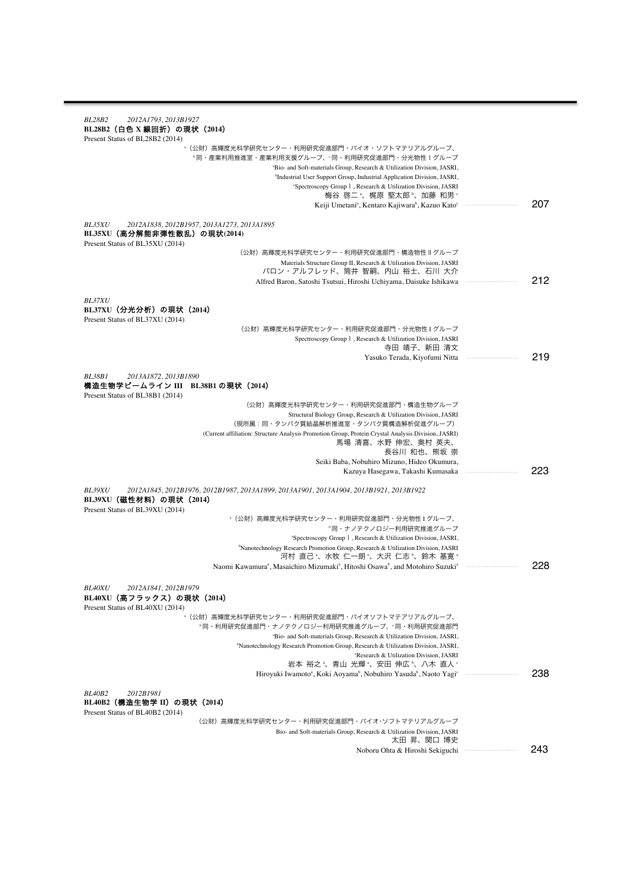| <b>BL28B2</b><br>2012A1793, 2013B1927<br>BL28B2(白色 X 線回折)の現状(2014)                                                                                                                                                        |         |
|---------------------------------------------------------------------------------------------------------------------------------------------------------------------------------------------------------------------------|---------|
| Present Status of BL28B2 (2014)<br>· (公財) 高輝度光科学研究センター·利用研究促進部門·バイオ·ソフトマテリアルグループ、                                                                                                                                         |         |
| ◦同·産業利用推進室·産業利用支援グループ、"同·利用研究促進部門·分光物性Ⅰグループ<br><sup>a</sup> Bio- and Soft-materials Group, Research & Utilization Division, JASRI,<br><sup>b</sup> Industrial User Support Group, Industrial Application Division, JASRI, |         |
| "Spectroscopy Group  , Research & Utilization Division, JASRI<br>梅谷 啓二 ″、梶原 堅太郎 ″、加藤 和男 ″                                                                                                                                 |         |
| Keiji Umetani <sup>a</sup> , Kentaro Kajiwara <sup>b</sup> , Kazuo Kato <sup>c</sup>                                                                                                                                      | 207     |
| 2012A1838, 2012B1957, 2013A1273, 2013A1895<br><i>BL35XU</i><br>BL35XU(高分解能非弾性散乱)の現状(2014)                                                                                                                                 |         |
| Present Status of BL35XU (2014)<br>(公財) 高輝度光科学研究センター・利用研究促進部門・構造物性Ⅱグループ                                                                                                                                                   |         |
| Materials Structure Group II, Research & Utilization Division, JASRI<br>バロン・アルフレッド、筒井 智嗣、内山 裕士、石川 大介                                                                                                                      |         |
| Alfred Baron, Satoshi Tsutsui, Hiroshi Uchiyama, Daisuke Ishikawa                                                                                                                                                         | 212     |
| <b>BL37XU</b><br>BL37XU(分光分析)の現状(2014)                                                                                                                                                                                    |         |
| Present Status of BL37XU (2014)<br>(公財)高輝度光科学研究センター・利用研究促進部門・分光物性 I グループ                                                                                                                                                  |         |
| Spectroscopy Group   , Research & Utilization Division, JASRI<br>寺田 靖子、新田 清文                                                                                                                                              |         |
| Yasuko Terada, Kiyofumi Nitta                                                                                                                                                                                             | 219     |
| BL38B1<br>2013A1872, 2013B1890                                                                                                                                                                                            |         |
| 構造生物学ピームライン III BL38B1 の現状(2014)<br>Present Status of BL38B1 (2014)                                                                                                                                                       |         |
| (公財) 高輝度光科学研究センター・利用研究促進部門・構造生物グループ                                                                                                                                                                                       |         |
| Structural Biology Group, Research & Utilization Division, JASRI<br>(現所属:同・タンパク質結晶解析推進室・タンパク質構造解析促進グループ)                                                                                                                  |         |
| (Current affiliation: Structure Analysis Promotion Group, Protein Crystal Analysis Division, JASRI)<br>馬場 清喜、水野 伸宏、奥村 英夫、                                                                                                 |         |
| 長谷川 和也、熊坂 崇<br>Seiki Baba, Nobuhiro Mizuno, Hideo Okumura,                                                                                                                                                                |         |
| Kazuya Hasegawa, Takashi Kumasaka                                                                                                                                                                                         | 223     |
| <b>BL39XU</b><br>2012A1845, 2012B1976, 2012B1987, 2013A1899, 2013A1901, 2013A1904, 2013B1921, 2013B1922<br>BL39XU(磁性材料)の現状(2014)<br>Present Status of BL39XU (2014)                                                       |         |
| <sup>。</sup> (公財)高輝度光科学研究センター・利用研究促進部門・分光物性 I グループ、                                                                                                                                                                       |         |
| <sup>。</sup> 同·ナノテクノロジー利用研究推進グループ<br><sup>a</sup> Spectroscopy Group 1, Research & Utilization Division, JASRI,                                                                                                           |         |
| <sup>b</sup> Nanotechnology Research Promotion Group, Research & Utilization Division, JASRI                                                                                                                              |         |
| 河村 直己 、水牧 仁一朗 、大沢 仁志 、鈴木 基寛 。<br>Naomi Kawamura <sup>a</sup> , Masaichiro Mizumaki <sup>a</sup> , Hitoshi Osawa <sup>b</sup> , and Motohiro Suzuki <sup>a</sup>                                                           | 228     |
|                                                                                                                                                                                                                           |         |
| <b>BL40XU</b><br>2012A1841, 2012B1979<br>BL40XU(高フラックス)の現状(2014)<br>Present Status of BL40XU (2014)                                                                                                                       |         |
| *(公財)高輝度光科学研究センター・利用研究促進部門・バイオソフトマテアリアルグループ、<br>"同・利用研究促進部門・ナノテクノロジー利用研究推進グループ、"同・利用研究促進部門                                                                                                                                |         |
| "Bio- and Soft-materials Group, Research & Utilization Division, JASRI,<br><sup>b</sup> Nanotechnology Research Promotion Group, Research & Utilization Division, JASRI,                                                  |         |
| 'Research & Utilization Division, JASRI                                                                                                                                                                                   |         |
| 岩本 裕之"、青山 光輝"、安田 伸広"、八木 直人"<br>Hiroyuki Iwamoto <sup>a</sup> , Koki Aoyama <sup>b</sup> , Nobuhiro Yasuda <sup>b</sup> , Naoto Yagi <sup>c</sup>                                                                          | <br>238 |
| <b>BL40B2</b><br>2012B1981                                                                                                                                                                                                |         |
| BL40B2(構造生物学 II)の現状(2014)<br>Present Status of BL40B2 (2014)                                                                                                                                                              |         |
| (公財) 高輝度光科学研究センター・利用研究促進部門・バイオ・ソフトマテリアルグループ                                                                                                                                                                               |         |
| Bio- and Soft-materials Group, Research & Utilization Division, JASRI<br>太田 昇、関口 博史                                                                                                                                       |         |
| Noboru Ohta & Hiroshi Sekiguchi                                                                                                                                                                                           | <br>243 |